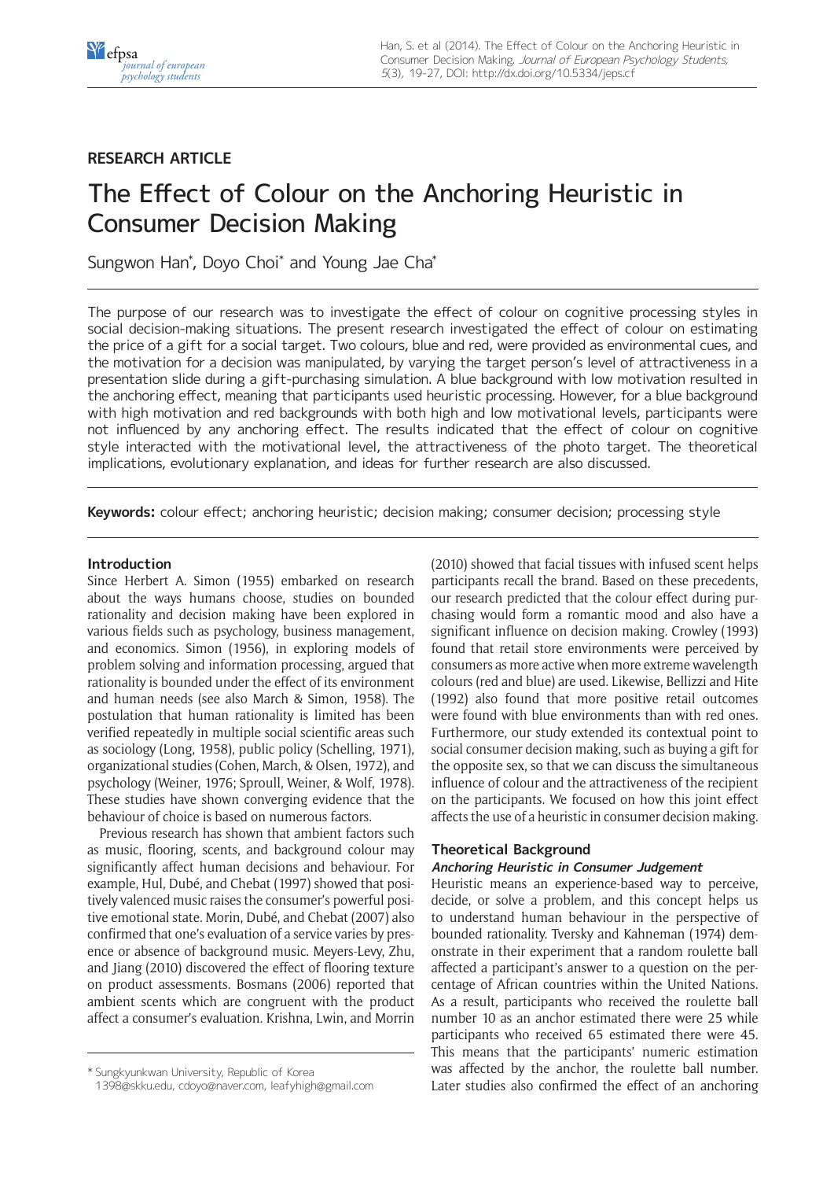## **RESEARCH ARTICLE**

# The Effect of Colour on the Anchoring Heuristic in Consumer Decision Making

Sungwon Han\* , Doyo Choi\* and Young Jae Cha\*

The purpose of our research was to investigate the effect of colour on cognitive processing styles in social decision-making situations. The present research investigated the effect of colour on estimating the price of a gift for a social target. Two colours, blue and red, were provided as environmental cues, and the motivation for a decision was manipulated, by varying the target person's level of attractiveness in a presentation slide during a gift-purchasing simulation. A blue background with low motivation resulted in the anchoring effect, meaning that participants used heuristic processing. However, for a blue background with high motivation and red backgrounds with both high and low motivational levels, participants were not influenced by any anchoring effect. The results indicated that the effect of colour on cognitive style interacted with the motivational level, the attractiveness of the photo target. The theoretical implications, evolutionary explanation, and ideas for further research are also discussed.

**Keywords:** colour effect; anchoring heuristic; decision making; consumer decision; processing style

## **Introduction**

Since Herbert A. Simon (1955) embarked on research about the ways humans choose, studies on bounded rationality and decision making have been explored in various fields such as psychology, business management, and economics. Simon (1956), in exploring models of problem solving and information processing, argued that rationality is bounded under the effect of its environment and human needs (see also March & Simon, 1958). The postulation that human rationality is limited has been verified repeatedly in multiple social scientific areas such as sociology (Long, 1958), public policy (Schelling, 1971), organizational studies (Cohen, March, & Olsen, 1972), and psychology (Weiner, 1976; Sproull, Weiner, & Wolf, 1978). These studies have shown converging evidence that the behaviour of choice is based on numerous factors.

Previous research has shown that ambient factors such as music, flooring, scents, and background colour may significantly affect human decisions and behaviour. For example, Hul, Dubé, and Chebat (1997) showed that positively valenced music raises the consumer's powerful positive emotional state. Morin, Dubé, and Chebat (2007) also confirmed that one's evaluation of a service varies by presence or absence of background music. Meyers-Levy, Zhu, and Jiang (2010) discovered the effect of flooring texture on product assessments. Bosmans (2006) reported that ambient scents which are congruent with the product affect a consumer's evaluation. Krishna, Lwin, and Morrin (2010) showed that facial tissues with infused scent helps participants recall the brand. Based on these precedents, our research predicted that the colour effect during purchasing would form a romantic mood and also have a significant influence on decision making. Crowley (1993) found that retail store environments were perceived by consumers as more active when more extreme wavelength colours (red and blue) are used. Likewise, Bellizzi and Hite (1992) also found that more positive retail outcomes were found with blue environments than with red ones. Furthermore, our study extended its contextual point to social consumer decision making, such as buying a gift for the opposite sex, so that we can discuss the simultaneous influence of colour and the attractiveness of the recipient on the participants. We focused on how this joint effect affects the use of a heuristic in consumer decision making.

## **Theoretical Background**

## **Anchoring Heuristic in Consumer Judgement**

Heuristic means an experience-based way to perceive, decide, or solve a problem, and this concept helps us to understand human behaviour in the perspective of bounded rationality. Tversky and Kahneman (1974) demonstrate in their experiment that a random roulette ball affected a participant's answer to a question on the percentage of African countries within the United Nations. As a result, participants who received the roulette ball number 10 as an anchor estimated there were 25 while participants who received 65 estimated there were 45. This means that the participants' numeric estimation was affected by the anchor, the roulette ball number. Later studies also confirmed the effect of an anchoring

<sup>\*</sup> Sungkyunkwan University, Republic of Korea

[<sup>1398@</sup>skku.edu](mailto:1398@skku.edu), [cdoyo@naver.com](mailto:cdoyo@naver.com), [leafyhigh@gmail.com](mailto:leafyhigh@gmail.com)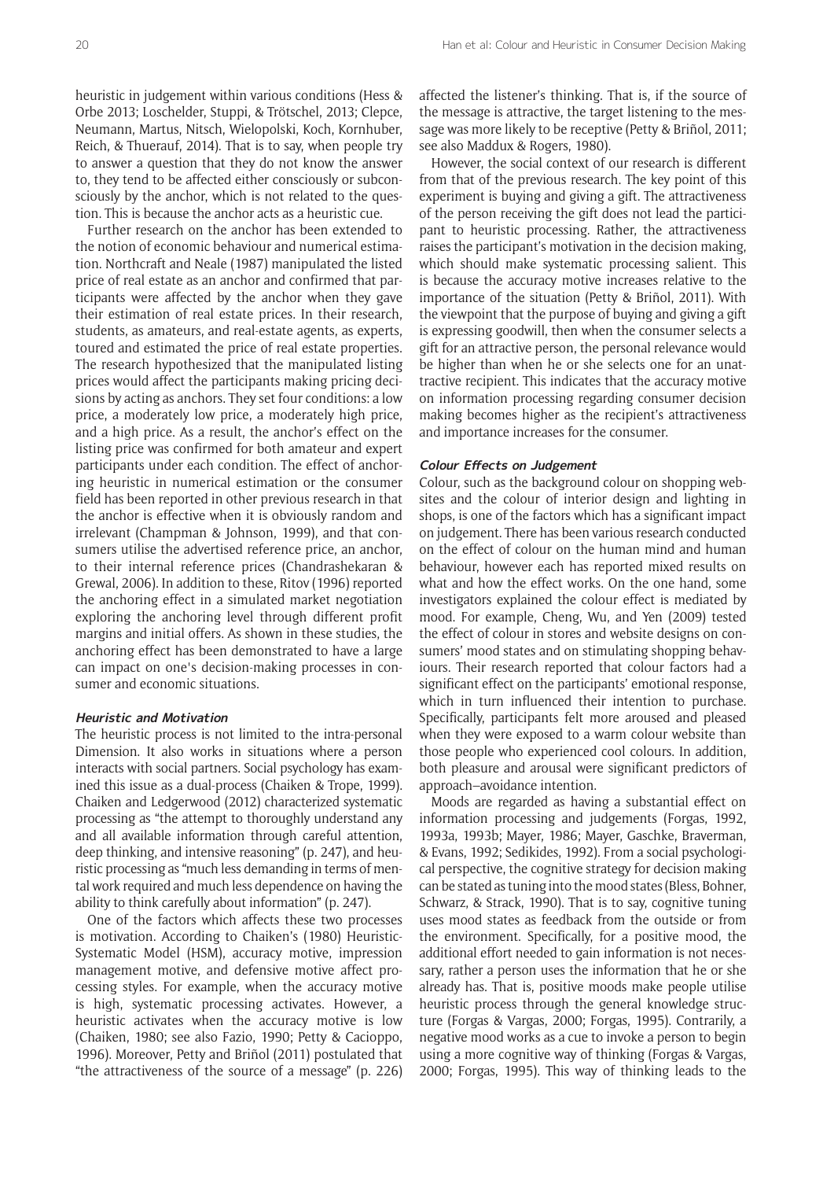heuristic in judgement within various conditions (Hess & Orbe 2013; Loschelder, Stuppi, & Trötschel, 2013; Clepce, Neumann, Martus, Nitsch, Wielopolski, Koch, Kornhuber, Reich, & Thuerauf, 2014). That is to say, when people try to answer a question that they do not know the answer to, they tend to be affected either consciously or subconsciously by the anchor, which is not related to the question. This is because the anchor acts as a heuristic cue.

Further research on the anchor has been extended to the notion of economic behaviour and numerical estimation. Northcraft and Neale (1987) manipulated the listed price of real estate as an anchor and confirmed that participants were affected by the anchor when they gave their estimation of real estate prices. In their research, students, as amateurs, and real-estate agents, as experts, toured and estimated the price of real estate properties. The research hypothesized that the manipulated listing prices would affect the participants making pricing decisions by acting as anchors. They set four conditions: a low price, a moderately low price, a moderately high price, and a high price. As a result, the anchor's effect on the listing price was confirmed for both amateur and expert participants under each condition. The effect of anchoring heuristic in numerical estimation or the consumer field has been reported in other previous research in that the anchor is effective when it is obviously random and irrelevant (Champman & Johnson, 1999), and that consumers utilise the advertised reference price, an anchor, to their internal reference prices (Chandrashekaran & Grewal, 2006). In addition to these, Ritov (1996) reported the anchoring effect in a simulated market negotiation exploring the anchoring level through different profit margins and initial offers. As shown in these studies, the anchoring effect has been demonstrated to have a large can impact on one's decision-making processes in consumer and economic situations.

#### **Heuristic and Motivation**

The heuristic process is not limited to the intra-personal Dimension. It also works in situations where a person interacts with social partners. Social psychology has examined this issue as a dual-process (Chaiken & Trope, 1999). Chaiken and Ledgerwood (2012) characterized systematic processing as "the attempt to thoroughly understand any and all available information through careful attention, deep thinking, and intensive reasoning" (p. 247), and heuristic processing as "much less demanding in terms of mental work required and much less dependence on having the ability to think carefully about information" (p. 247).

One of the factors which affects these two processes is motivation. According to Chaiken's (1980) Heuristic-Systematic Model (HSM), accuracy motive, impression management motive, and defensive motive affect processing styles. For example, when the accuracy motive is high, systematic processing activates. However, a heuristic activates when the accuracy motive is low (Chaiken, 1980; see also Fazio, 1990; Petty & Cacioppo, 1996). Moreover, Petty and Briñol (2011) postulated that "the attractiveness of the source of a message" (p. 226) affected the listener's thinking. That is, if the source of the message is attractive, the target listening to the message was more likely to be receptive (Petty & Briñol, 2011; see also Maddux & Rogers, 1980).

However, the social context of our research is different from that of the previous research. The key point of this experiment is buying and giving a gift. The attractiveness of the person receiving the gift does not lead the participant to heuristic processing. Rather, the attractiveness raises the participant's motivation in the decision making, which should make systematic processing salient. This is because the accuracy motive increases relative to the importance of the situation (Petty & Briñol, 2011). With the viewpoint that the purpose of buying and giving a gift is expressing goodwill, then when the consumer selects a gift for an attractive person, the personal relevance would be higher than when he or she selects one for an unattractive recipient. This indicates that the accuracy motive on information processing regarding consumer decision making becomes higher as the recipient's attractiveness and importance increases for the consumer.

#### **Colour Effects on Judgement**

Colour, such as the background colour on shopping websites and the colour of interior design and lighting in shops, is one of the factors which has a significant impact on judgement. There has been various research conducted on the effect of colour on the human mind and human behaviour, however each has reported mixed results on what and how the effect works. On the one hand, some investigators explained the colour effect is mediated by mood. For example, Cheng, Wu, and Yen (2009) tested the effect of colour in stores and website designs on consumers' mood states and on stimulating shopping behaviours. Their research reported that colour factors had a significant effect on the participants' emotional response, which in turn influenced their intention to purchase. Specifically, participants felt more aroused and pleased when they were exposed to a warm colour website than those people who experienced cool colours. In addition, both pleasure and arousal were significant predictors of approach–avoidance intention.

Moods are regarded as having a substantial effect on information processing and judgements (Forgas, 1992, 1993a, 1993b; Mayer, 1986; Mayer, Gaschke, Braverman, & Evans, 1992; Sedikides, 1992). From a social psychological perspective, the cognitive strategy for decision making can be stated as tuning into the mood states (Bless, Bohner, Schwarz, & Strack, 1990). That is to say, cognitive tuning uses mood states as feedback from the outside or from the environment. Specifically, for a positive mood, the additional effort needed to gain information is not necessary, rather a person uses the information that he or she already has. That is, positive moods make people utilise heuristic process through the general knowledge structure (Forgas & Vargas, 2000; Forgas, 1995). Contrarily, a negative mood works as a cue to invoke a person to begin using a more cognitive way of thinking (Forgas & Vargas, 2000; Forgas, 1995). This way of thinking leads to the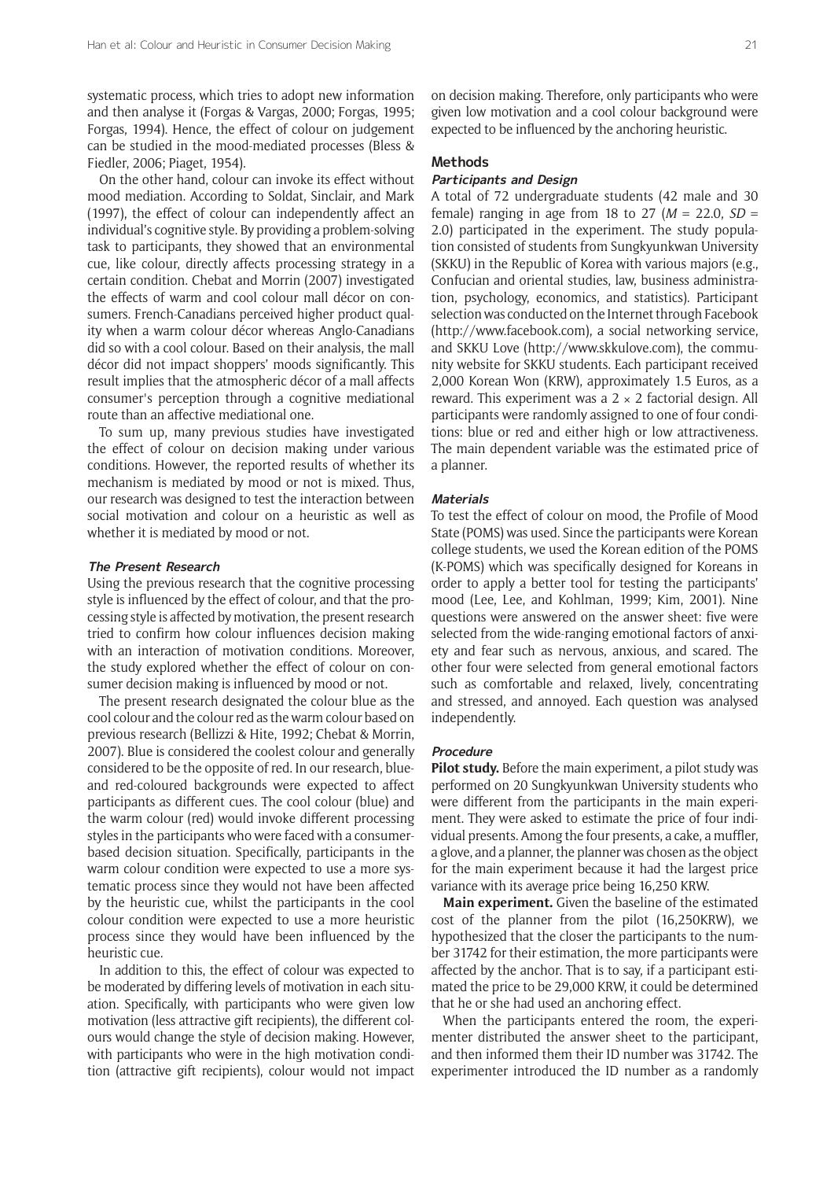systematic process, which tries to adopt new information and then analyse it (Forgas & Vargas, 2000; Forgas, 1995; Forgas, 1994). Hence, the effect of colour on judgement can be studied in the mood-mediated processes (Bless & Fiedler, 2006; Piaget, 1954).

On the other hand, colour can invoke its effect without mood mediation. According to Soldat, Sinclair, and Mark (1997), the effect of colour can independently affect an individual's cognitive style. By providing a problem-solving task to participants, they showed that an environmental cue, like colour, directly affects processing strategy in a certain condition. Chebat and Morrin (2007) investigated the effects of warm and cool colour mall décor on consumers. French-Canadians perceived higher product quality when a warm colour décor whereas Anglo-Canadians did so with a cool colour. Based on their analysis, the mall décor did not impact shoppers' moods significantly. This result implies that the atmospheric décor of a mall affects consumer's perception through a cognitive mediational route than an affective mediational one.

To sum up, many previous studies have investigated the effect of colour on decision making under various conditions. However, the reported results of whether its mechanism is mediated by mood or not is mixed. Thus, our research was designed to test the interaction between social motivation and colour on a heuristic as well as whether it is mediated by mood or not.

#### **The Present Research**

Using the previous research that the cognitive processing style is influenced by the effect of colour, and that the processing style is affected by motivation, the present research tried to confirm how colour influences decision making with an interaction of motivation conditions. Moreover, the study explored whether the effect of colour on consumer decision making is influenced by mood or not.

The present research designated the colour blue as the cool colour and the colour red as the warm colour based on previous research (Bellizzi & Hite, 1992; Chebat & Morrin, 2007). Blue is considered the coolest colour and generally considered to be the opposite of red. In our research, blueand red-coloured backgrounds were expected to affect participants as different cues. The cool colour (blue) and the warm colour (red) would invoke different processing styles in the participants who were faced with a consumerbased decision situation. Specifically, participants in the warm colour condition were expected to use a more systematic process since they would not have been affected by the heuristic cue, whilst the participants in the cool colour condition were expected to use a more heuristic process since they would have been influenced by the heuristic cue.

In addition to this, the effect of colour was expected to be moderated by differing levels of motivation in each situation. Specifically, with participants who were given low motivation (less attractive gift recipients), the different colours would change the style of decision making. However, with participants who were in the high motivation condition (attractive gift recipients), colour would not impact

on decision making. Therefore, only participants who were given low motivation and a cool colour background were expected to be influenced by the anchoring heuristic.

## **Methods**

## **Participants and Design**

A total of 72 undergraduate students (42 male and 30 female) ranging in age from 18 to 27  $(M = 22.0, SD =$ 2.0) participated in the experiment. The study population consisted of students from Sungkyunkwan University (SKKU) in the Republic of Korea with various majors (e.g., Confucian and oriental studies, law, business administration, psychology, economics, and statistics). Participant selection was conducted on the Internet through Facebook (<http://www.facebook.com>), a social networking service, and SKKU Love ([http://www.skkulove.com\)](http://www.skkulove.com), the community website for SKKU students. Each participant received 2,000 Korean Won (KRW), approximately 1.5 Euros, as a reward. This experiment was a  $2 \times 2$  factorial design. All participants were randomly assigned to one of four conditions: blue or red and either high or low attractiveness. The main dependent variable was the estimated price of a planner.

#### **Materials**

To test the effect of colour on mood, the Profile of Mood State (POMS) was used. Since the participants were Korean college students, we used the Korean edition of the POMS (K-POMS) which was specifically designed for Koreans in order to apply a better tool for testing the participants' mood (Lee, Lee, and Kohlman, 1999; Kim, 2001). Nine questions were answered on the answer sheet: five were selected from the wide-ranging emotional factors of anxiety and fear such as nervous, anxious, and scared. The other four were selected from general emotional factors such as comfortable and relaxed, lively, concentrating and stressed, and annoyed. Each question was analysed independently.

#### **Procedure**

**Pilot study.** Before the main experiment, a pilot study was performed on 20 Sungkyunkwan University students who were different from the participants in the main experiment. They were asked to estimate the price of four individual presents. Among the four presents, a cake, a muffler, a glove, and a planner, the planner was chosen as the object for the main experiment because it had the largest price variance with its average price being 16,250 KRW.

**Main experiment.** Given the baseline of the estimated cost of the planner from the pilot (16,250KRW), we hypothesized that the closer the participants to the number 31742 for their estimation, the more participants were affected by the anchor. That is to say, if a participant estimated the price to be 29,000 KRW, it could be determined that he or she had used an anchoring effect.

When the participants entered the room, the experimenter distributed the answer sheet to the participant, and then informed them their ID number was 31742. The experimenter introduced the ID number as a randomly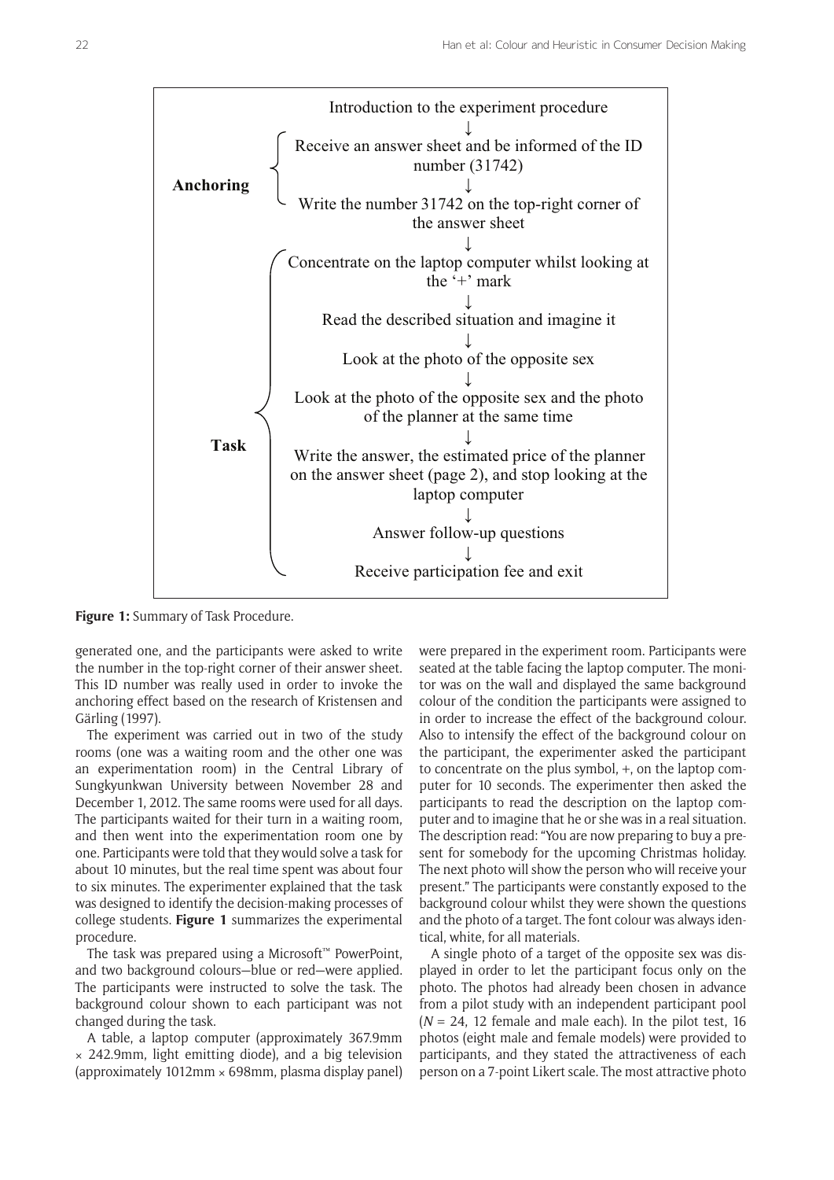

**Figure 1:** Summary of Task Procedure.

generated one, and the participants were asked to write the number in the top-right corner of their answer sheet. This ID number was really used in order to invoke the anchoring effect based on the research of Kristensen and Gärling (1997).

The experiment was carried out in two of the study rooms (one was a waiting room and the other one was an experimentation room) in the Central Library of Sungkyunkwan University between November 28 and December 1, 2012. The same rooms were used for all days. The participants waited for their turn in a waiting room, and then went into the experimentation room one by one. Participants were told that they would solve a task for about 10 minutes, but the real time spent was about four to six minutes. The experimenter explained that the task was designed to identify the decision-making processes of college students. **Figure 1** summarizes the experimental procedure.

The task was prepared using a Microsoft™ PowerPoint, and two background colours—blue or red—were applied. The participants were instructed to solve the task. The background colour shown to each participant was not changed during the task.

A table, a laptop computer (approximately 367.9mm × 242.9mm, light emitting diode), and a big television (approximately  $1012$ mm  $\times$  698mm, plasma display panel) were prepared in the experiment room. Participants were seated at the table facing the laptop computer. The monitor was on the wall and displayed the same background colour of the condition the participants were assigned to in order to increase the effect of the background colour. Also to intensify the effect of the background colour on the participant, the experimenter asked the participant to concentrate on the plus symbol, +, on the laptop computer for 10 seconds. The experimenter then asked the participants to read the description on the laptop computer and to imagine that he or she was in a real situation. The description read: "You are now preparing to buy a present for somebody for the upcoming Christmas holiday. The next photo will show the person who will receive your present." The participants were constantly exposed to the background colour whilst they were shown the questions and the photo of a target. The font colour was always identical, white, for all materials.

A single photo of a target of the opposite sex was displayed in order to let the participant focus only on the photo. The photos had already been chosen in advance from a pilot study with an independent participant pool  $(N = 24, 12$  female and male each). In the pilot test, 16 photos (eight male and female models) were provided to participants, and they stated the attractiveness of each person on a 7-point Likert scale. The most attractive photo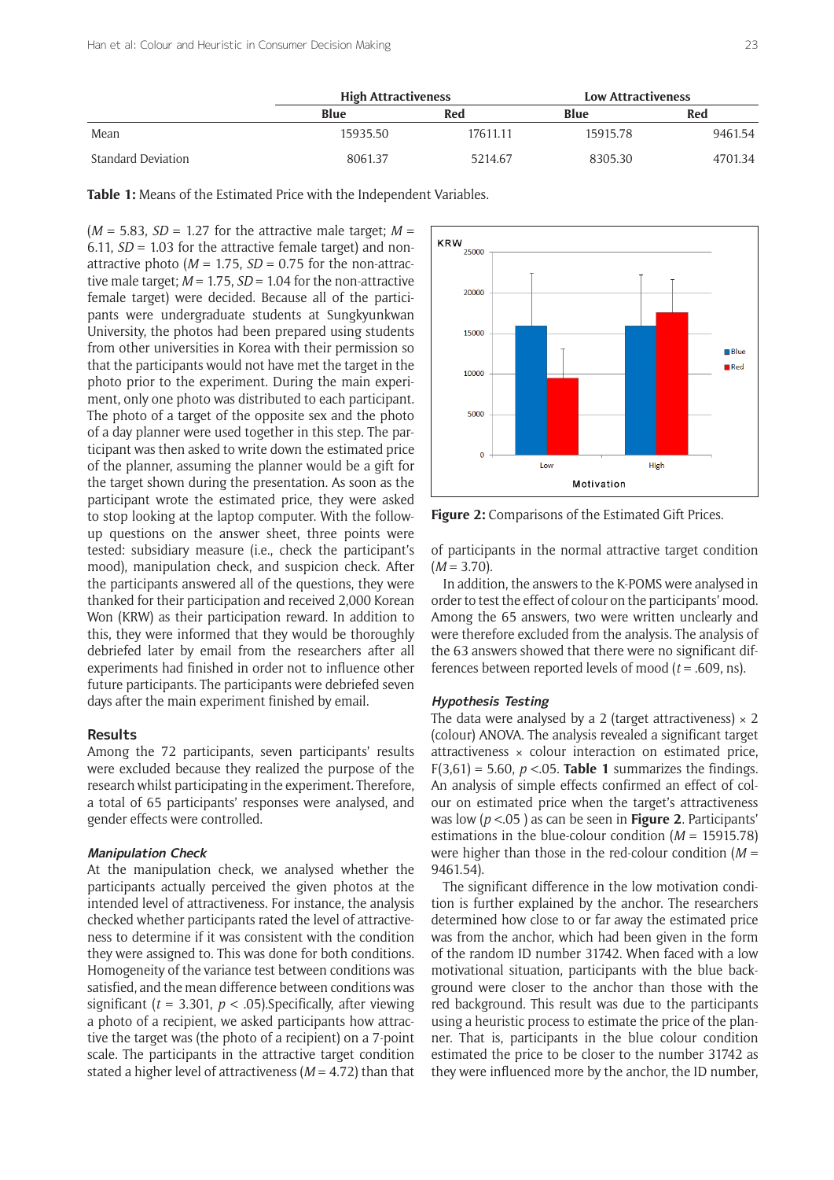|                    | <b>High Attractiveness</b> |          | <b>Low Attractiveness</b> |         |
|--------------------|----------------------------|----------|---------------------------|---------|
|                    | Blue                       | Red      | Blue                      | Red     |
| Mean               | 15935.50                   | 17611.11 | 15915.78                  | 9461.54 |
| Standard Deviation | 8061.37                    | 5214.67  | 8305.30                   | 4701.34 |

**Table 1:** Means of the Estimated Price with the Independent Variables.

 $(M = 5.83, SD = 1.27$  for the attractive male target;  $M =$ 6.11,  $SD = 1.03$  for the attractive female target) and nonattractive photo  $(M = 1.75, SD = 0.75$  for the non-attractive male target; *M* = 1.75, *SD* = 1.04 for the non-attractive female target) were decided. Because all of the participants were undergraduate students at Sungkyunkwan University, the photos had been prepared using students from other universities in Korea with their permission so that the participants would not have met the target in the photo prior to the experiment. During the main experiment, only one photo was distributed to each participant. The photo of a target of the opposite sex and the photo of a day planner were used together in this step. The participant was then asked to write down the estimated price of the planner, assuming the planner would be a gift for the target shown during the presentation. As soon as the participant wrote the estimated price, they were asked to stop looking at the laptop computer. With the followup questions on the answer sheet, three points were tested: subsidiary measure (i.e., check the participant's mood), manipulation check, and suspicion check. After the participants answered all of the questions, they were thanked for their participation and received 2,000 Korean Won (KRW) as their participation reward. In addition to this, they were informed that they would be thoroughly debriefed later by email from the researchers after all experiments had finished in order not to influence other future participants. The participants were debriefed seven days after the main experiment finished by email.

#### **Results**

Among the 72 participants, seven participants' results were excluded because they realized the purpose of the research whilst participating in the experiment. Therefore, a total of 65 participants' responses were analysed, and gender effects were controlled.

#### **Manipulation Check**

At the manipulation check, we analysed whether the participants actually perceived the given photos at the intended level of attractiveness. For instance, the analysis checked whether participants rated the level of attractiveness to determine if it was consistent with the condition they were assigned to. This was done for both conditions. Homogeneity of the variance test between conditions was satisfied, and the mean difference between conditions was significant ( $t = 3.301$ ,  $p < .05$ ). Specifically, after viewing a photo of a recipient, we asked participants how attractive the target was (the photo of a recipient) on a 7-point scale. The participants in the attractive target condition stated a higher level of attractiveness (*M* = 4.72) than that



**Figure 2:** Comparisons of the Estimated Gift Prices.

of participants in the normal attractive target condition  $(M = 3.70)$ .

In addition, the answers to the K-POMS were analysed in order to test the effect of colour on the participants' mood. Among the 65 answers, two were written unclearly and were therefore excluded from the analysis. The analysis of the 63 answers showed that there were no significant differences between reported levels of mood (*t* = .609, ns).

#### **Hypothesis Testing**

The data were analysed by a 2 (target attractiveness)  $\times$  2 (colour) ANOVA. The analysis revealed a significant target attractiveness × colour interaction on estimated price,  $F(3,61) = 5.60$ ,  $p < 0.05$ . **Table 1** summarizes the findings. An analysis of simple effects confirmed an effect of colour on estimated price when the target's attractiveness was low (*p* <.05 ) as can be seen in **Figure 2**. Participants' estimations in the blue-colour condition (*M* = 15915.78) were higher than those in the red-colour condition (*M* = 9461.54).

The significant difference in the low motivation condition is further explained by the anchor. The researchers determined how close to or far away the estimated price was from the anchor, which had been given in the form of the random ID number 31742. When faced with a low motivational situation, participants with the blue background were closer to the anchor than those with the red background. This result was due to the participants using a heuristic process to estimate the price of the planner. That is, participants in the blue colour condition estimated the price to be closer to the number 31742 as they were influenced more by the anchor, the ID number,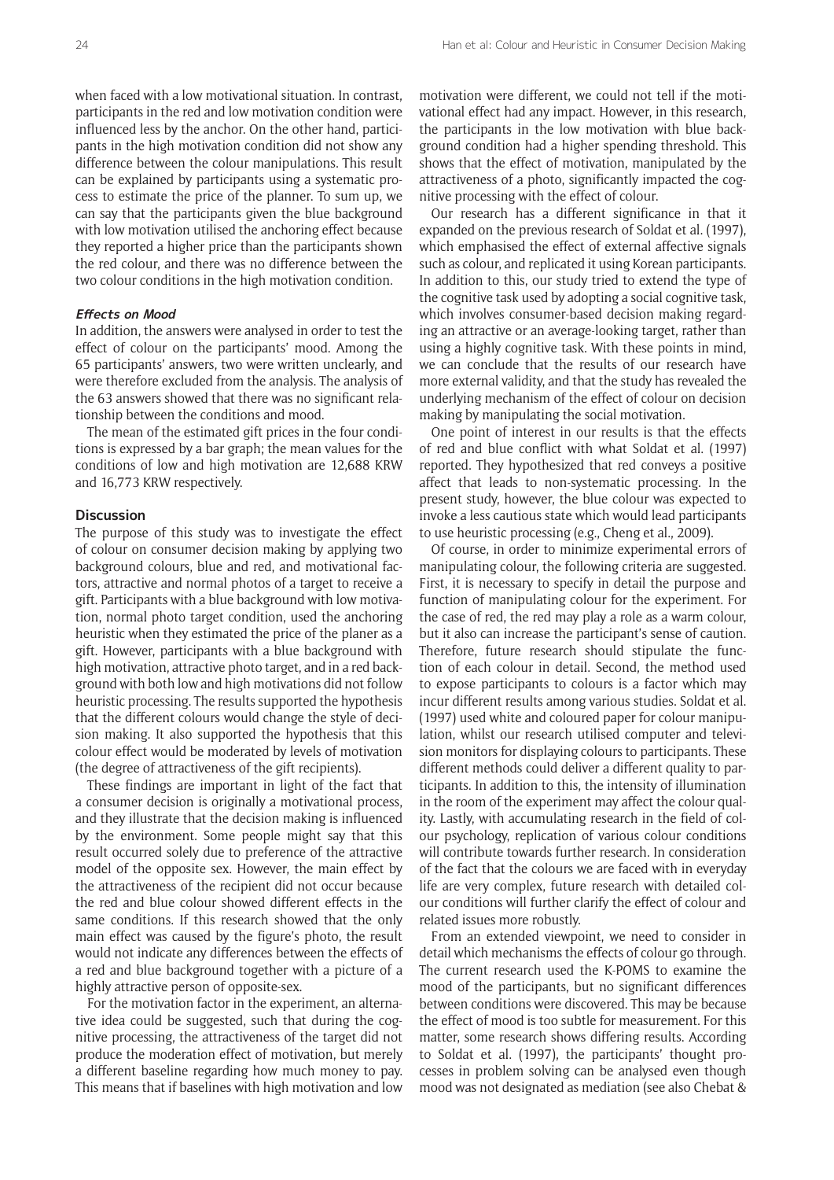when faced with a low motivational situation. In contrast, participants in the red and low motivation condition were influenced less by the anchor. On the other hand, participants in the high motivation condition did not show any difference between the colour manipulations. This result can be explained by participants using a systematic process to estimate the price of the planner. To sum up, we can say that the participants given the blue background with low motivation utilised the anchoring effect because they reported a higher price than the participants shown the red colour, and there was no difference between the two colour conditions in the high motivation condition.

#### **Effects on Mood**

In addition, the answers were analysed in order to test the effect of colour on the participants' mood. Among the 65 participants' answers, two were written unclearly, and were therefore excluded from the analysis. The analysis of the 63 answers showed that there was no significant relationship between the conditions and mood.

The mean of the estimated gift prices in the four conditions is expressed by a bar graph; the mean values for the conditions of low and high motivation are 12,688 KRW and 16,773 KRW respectively.

#### **Discussion**

The purpose of this study was to investigate the effect of colour on consumer decision making by applying two background colours, blue and red, and motivational factors, attractive and normal photos of a target to receive a gift. Participants with a blue background with low motivation, normal photo target condition, used the anchoring heuristic when they estimated the price of the planer as a gift. However, participants with a blue background with high motivation, attractive photo target, and in a red background with both low and high motivations did not follow heuristic processing. The results supported the hypothesis that the different colours would change the style of decision making. It also supported the hypothesis that this colour effect would be moderated by levels of motivation (the degree of attractiveness of the gift recipients).

These findings are important in light of the fact that a consumer decision is originally a motivational process, and they illustrate that the decision making is influenced by the environment. Some people might say that this result occurred solely due to preference of the attractive model of the opposite sex. However, the main effect by the attractiveness of the recipient did not occur because the red and blue colour showed different effects in the same conditions. If this research showed that the only main effect was caused by the figure's photo, the result would not indicate any differences between the effects of a red and blue background together with a picture of a highly attractive person of opposite-sex.

For the motivation factor in the experiment, an alternative idea could be suggested, such that during the cognitive processing, the attractiveness of the target did not produce the moderation effect of motivation, but merely a different baseline regarding how much money to pay. This means that if baselines with high motivation and low

motivation were different, we could not tell if the motivational effect had any impact. However, in this research, the participants in the low motivation with blue background condition had a higher spending threshold. This shows that the effect of motivation, manipulated by the attractiveness of a photo, significantly impacted the cognitive processing with the effect of colour.

Our research has a different significance in that it expanded on the previous research of Soldat et al. (1997), which emphasised the effect of external affective signals such as colour, and replicated it using Korean participants. In addition to this, our study tried to extend the type of the cognitive task used by adopting a social cognitive task, which involves consumer-based decision making regarding an attractive or an average-looking target, rather than using a highly cognitive task. With these points in mind, we can conclude that the results of our research have more external validity, and that the study has revealed the underlying mechanism of the effect of colour on decision making by manipulating the social motivation.

One point of interest in our results is that the effects of red and blue conflict with what Soldat et al. (1997) reported. They hypothesized that red conveys a positive affect that leads to non-systematic processing. In the present study, however, the blue colour was expected to invoke a less cautious state which would lead participants to use heuristic processing (e.g., Cheng et al., 2009).

Of course, in order to minimize experimental errors of manipulating colour, the following criteria are suggested. First, it is necessary to specify in detail the purpose and function of manipulating colour for the experiment. For the case of red, the red may play a role as a warm colour, but it also can increase the participant's sense of caution. Therefore, future research should stipulate the function of each colour in detail. Second, the method used to expose participants to colours is a factor which may incur different results among various studies. Soldat et al. (1997) used white and coloured paper for colour manipulation, whilst our research utilised computer and television monitors for displaying colours to participants. These different methods could deliver a different quality to participants. In addition to this, the intensity of illumination in the room of the experiment may affect the colour quality. Lastly, with accumulating research in the field of colour psychology, replication of various colour conditions will contribute towards further research. In consideration of the fact that the colours we are faced with in everyday life are very complex, future research with detailed colour conditions will further clarify the effect of colour and related issues more robustly.

From an extended viewpoint, we need to consider in detail which mechanisms the effects of colour go through. The current research used the K-POMS to examine the mood of the participants, but no significant differences between conditions were discovered. This may be because the effect of mood is too subtle for measurement. For this matter, some research shows differing results. According to Soldat et al. (1997), the participants' thought processes in problem solving can be analysed even though mood was not designated as mediation (see also Chebat &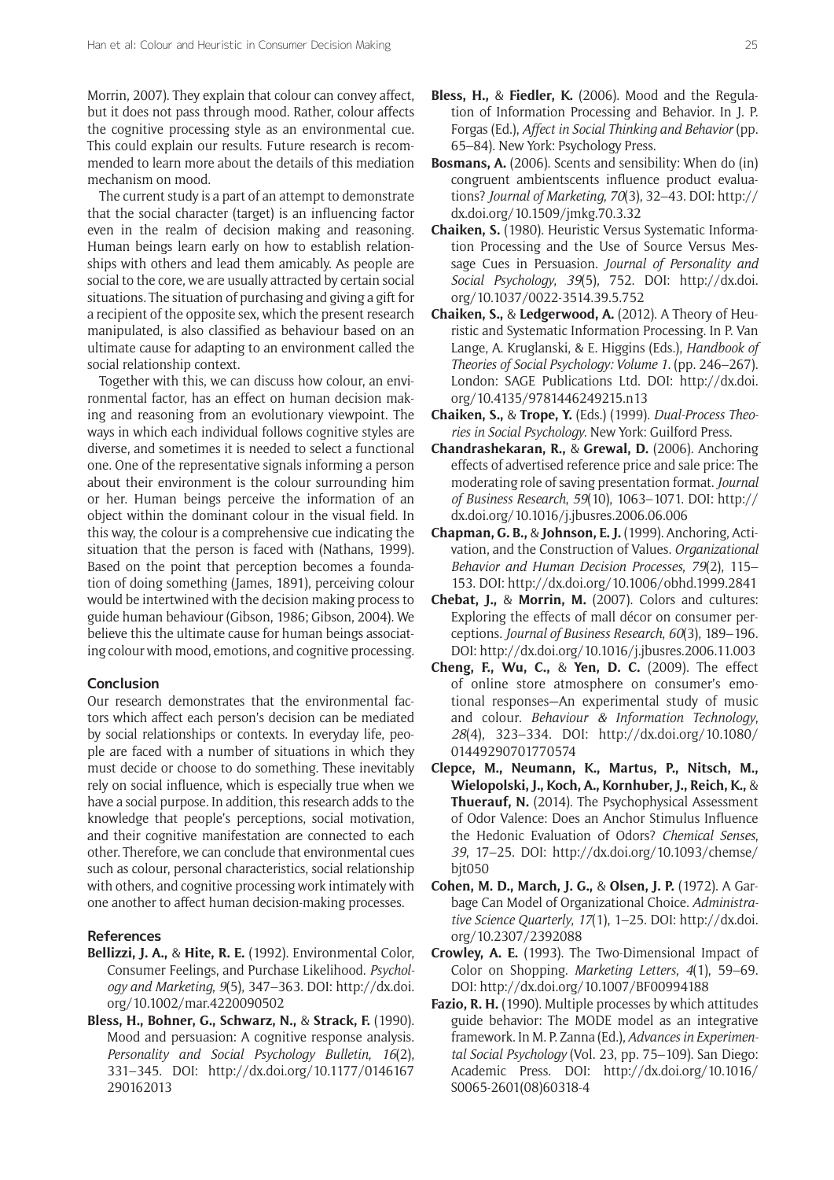Morrin, 2007). They explain that colour can convey affect, but it does not pass through mood. Rather, colour affects the cognitive processing style as an environmental cue. This could explain our results. Future research is recommended to learn more about the details of this mediation mechanism on mood.

The current study is a part of an attempt to demonstrate that the social character (target) is an influencing factor even in the realm of decision making and reasoning. Human beings learn early on how to establish relationships with others and lead them amicably. As people are social to the core, we are usually attracted by certain social situations. The situation of purchasing and giving a gift for a recipient of the opposite sex, which the present research manipulated, is also classified as behaviour based on an ultimate cause for adapting to an environment called the social relationship context.

Together with this, we can discuss how colour, an environmental factor, has an effect on human decision making and reasoning from an evolutionary viewpoint. The ways in which each individual follows cognitive styles are diverse, and sometimes it is needed to select a functional one. One of the representative signals informing a person about their environment is the colour surrounding him or her. Human beings perceive the information of an object within the dominant colour in the visual field. In this way, the colour is a comprehensive cue indicating the situation that the person is faced with (Nathans, 1999). Based on the point that perception becomes a foundation of doing something (James, 1891), perceiving colour would be intertwined with the decision making process to guide human behaviour (Gibson, 1986; Gibson, 2004). We believe this the ultimate cause for human beings associating colour with mood, emotions, and cognitive processing.

### **Conclusion**

Our research demonstrates that the environmental factors which affect each person's decision can be mediated by social relationships or contexts. In everyday life, people are faced with a number of situations in which they must decide or choose to do something. These inevitably rely on social influence, which is especially true when we have a social purpose. In addition, this research adds to the knowledge that people's perceptions, social motivation, and their cognitive manifestation are connected to each other. Therefore, we can conclude that environmental cues such as colour, personal characteristics, social relationship with others, and cognitive processing work intimately with one another to affect human decision-making processes.

## **References**

- **Bellizzi, J. A.,** & **Hite, R. E.** (1992). Environmental Color, Consumer Feelings, and Purchase Likelihood. *Psychology and Marketing*, *9*(5), 347–363. DOI: [http://dx.doi.](http://dx.doi.org/10.1002/mar.4220090502) [org/10.1002/mar.4220090502](http://dx.doi.org/10.1002/mar.4220090502)
- **Bless, H., Bohner, G., Schwarz, N.,** & **Strack, F.** (1990). Mood and persuasion: A cognitive response analysis. *Personality and Social Psychology Bulletin*, *16*(2), 331–345. DOI: [http://dx.doi.org/10.1177/0146167](http://dx.doi.org/10.1177/0146167290162013) [290162013](http://dx.doi.org/10.1177/0146167290162013)
- **Bless, H.,** & **Fiedler, K.** (2006). Mood and the Regulation of Information Processing and Behavior. In J. P. Forgas (Ed.), *Affect in Social Thinking and Behavior* (pp. 65–84). New York: Psychology Press.
- **Bosmans, A.** (2006). Scents and sensibility: When do (in) congruent ambientscents influence product evaluations? *Journal of Marketing*, *70*(3), 32–43. DOI: [http://](http://dx.doi.org/10.1509/jmkg.70.3.32) [dx.doi.org/10.1509/jmkg.70.3.32](http://dx.doi.org/10.1509/jmkg.70.3.32)
- **Chaiken, S.** (1980). Heuristic Versus Systematic Information Processing and the Use of Source Versus Message Cues in Persuasion. *Journal of Personality and Social Psychology*, *39*(5), 752. DOI: [http://dx.doi.](http://dx.doi.org/10.1037/0022-3514.39.5.752) [org/10.1037/0022-3514.39.5.752](http://dx.doi.org/10.1037/0022-3514.39.5.752)
- **Chaiken, S.,** & **Ledgerwood, A.** (2012). A Theory of Heuristic and Systematic Information Processing. In P. Van Lange, A. Kruglanski, & E. Higgins (Eds.), *Handbook of Theories of Social Psychology: Volume 1*. (pp. 246–267). London: SAGE Publications Ltd. DOI: [http://dx.doi.](http://dx.doi.org/10.4135/9781446249215.n13) [org/10.4135/9781446249215.n13](http://dx.doi.org/10.4135/9781446249215.n13)
- **Chaiken, S.,** & **Trope, Y.** (Eds.) (1999). *Dual-Process Theories in Social Psychology*. New York: Guilford Press.
- **Chandrashekaran, R.,** & **Grewal, D.** (2006). Anchoring effects of advertised reference price and sale price: The moderating role of saving presentation format. *Journal of Business Research*, *59*(10), 1063–1071. DOI: [http://](http://dx.doi.org/10.1016/j.jbusres.2006.06.006) [dx.doi.org/10.1016/j.jbusres.2006.06.006](http://dx.doi.org/10.1016/j.jbusres.2006.06.006)
- **Chapman, G. B.,** & **Johnson, E. J.** (1999). Anchoring, Activation, and the Construction of Values. *Organizational Behavior and Human Decision Processes*, *79*(2), 115– 153. DOI: <http://dx.doi.org/10.1006/obhd.1999.2841>
- **Chebat, J.,** & **Morrin, M.** (2007). Colors and cultures: Exploring the effects of mall décor on consumer perceptions. *Journal of Business Research*, *60*(3), 189–196. DOI: <http://dx.doi.org/10.1016/j.jbusres.2006.11.003>
- **Cheng, F., Wu, C.,** & **Yen, D. C.** (2009). The effect of online store atmosphere on consumer's emotional responses—An experimental study of music and colour. *Behaviour & Information Technology*, *28*(4), 323–334. DOI: [http://dx.doi.org/10.1080/](http://dx.doi.org/10.1080/01449290701770574) [01449290701770574](http://dx.doi.org/10.1080/01449290701770574)
- **Clepce, M., Neumann, K., Martus, P., Nitsch, M., Wielopolski, J., Koch, A., Kornhuber, J., Reich, K.,** & **Thuerauf, N.** (2014). The Psychophysical Assessment of Odor Valence: Does an Anchor Stimulus Influence the Hedonic Evaluation of Odors? *Chemical Senses*, *39*, 17–25. DOI: [http://dx.doi.org/10.1093/chemse/](http://dx.doi.org/10.1093/chemse/bjt050) bit050
- **Cohen, M. D., March, J. G.,** & **Olsen, J. P.** (1972). A Garbage Can Model of Organizational Choice. *Administrative Science Quarterly*, *17*(1), 1–25. DOI: [http://dx.doi.](http://dx.doi.org/10.2307/2392088) [org/10.2307/2392088](http://dx.doi.org/10.2307/2392088)
- **Crowley, A. E.** (1993). The Two-Dimensional Impact of Color on Shopping. *Marketing Letters*, *4*(1), 59–69. DOI: <http://dx.doi.org/10.1007/BF00994188>
- **Fazio, R. H.** (1990). Multiple processes by which attitudes guide behavior: The MODE model as an integrative framework. In M. P. Zanna (Ed.), *Advances in Experimental Social Psychology* (Vol. 23, pp. 75–109). San Diego: Academic Press. DOI: [http://dx.doi.org/10.1016/](http://dx.doi.org/10.1016/S0065-2601(08)60318-4) [S0065-2601\(08\)60318-4](http://dx.doi.org/10.1016/S0065-2601(08)60318-4)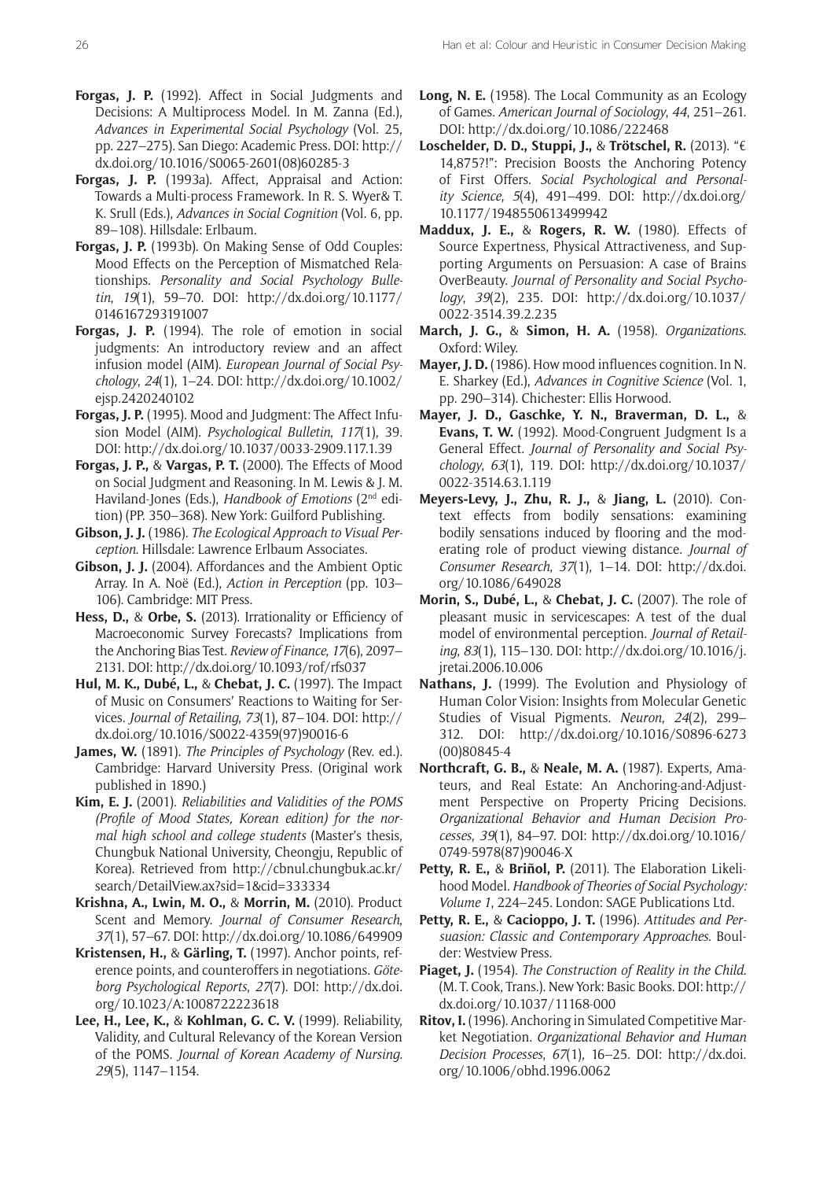- **Forgas, J. P.** (1992). Affect in Social Judgments and Decisions: A Multiprocess Model. In M. Zanna (Ed.), *Advances in Experimental Social Psychology* (Vol. 25, pp. 227–275). San Diego: Academic Press. DOI: [http://](http://dx.doi.org/10.1016/S0065-2601(08)60285-3) [dx.doi.org/10.1016/S0065-2601\(08\)60285-3](http://dx.doi.org/10.1016/S0065-2601(08)60285-3)
- **Forgas, J. P.** (1993a). Affect, Appraisal and Action: Towards a Multi-process Framework. In R. S. Wyer& T. K. Srull (Eds.), *Advances in Social Cognition* (Vol. 6, pp. 89–108). Hillsdale: Erlbaum.
- **Forgas, J. P.** (1993b). On Making Sense of Odd Couples: Mood Effects on the Perception of Mismatched Relationships. *Personality and Social Psychology Bulletin*, *19*(1), 59–70. DOI: [http://dx.doi.org/10.1177/](http://dx.doi.org/10.1177/0146167293191007) [0146167293191007](http://dx.doi.org/10.1177/0146167293191007)
- **Forgas, J. P.** (1994). The role of emotion in social judgments: An introductory review and an affect infusion model (AIM). *European Journal of Social Psychology*, *24*(1), 1–24. DOI: [http://dx.doi.org/10.1002/](http://dx.doi.org/10.1002/ejsp.2420240102) [ejsp.2420240102](http://dx.doi.org/10.1002/ejsp.2420240102)
- **Forgas, J. P.** (1995). Mood and Judgment: The Affect Infusion Model (AIM). *Psychological Bulletin*, *117*(1), 39. DOI: <http://dx.doi.org/10.1037/0033-2909.117.1.39>
- **Forgas, J. P.,** & **Vargas, P. T.** (2000). The Effects of Mood on Social Judgment and Reasoning. In M. Lewis & J. M. Haviland-Jones (Eds.), *Handbook of Emotions* (2nd edition) (PP. 350–368). New York: Guilford Publishing.
- **Gibson, J. J.** (1986). *The Ecological Approach to Visual Perception*. Hillsdale: Lawrence Erlbaum Associates.
- **Gibson, J. J.** (2004). Affordances and the Ambient Optic Array. In A. Noë (Ed.), *Action in Perception* (pp. 103– 106). Cambridge: MIT Press.
- **Hess, D.,** & **Orbe, S.** (2013). Irrationality or Efficiency of Macroeconomic Survey Forecasts? Implications from the Anchoring Bias Test. *Review of Finance*, *17*(6), 2097– 2131. DOI:<http://dx.doi.org/10.1093/rof/rfs037>
- **Hul, M. K., Dubé, L.,** & **Chebat, J. C.** (1997). The Impact of Music on Consumers' Reactions to Waiting for Services. *Journal of Retailing*, *73*(1), 87–104. DOI: [http://](http://dx.doi.org/10.1016/S0022-4359(97)90016-6) [dx.doi.org/10.1016/S0022-4359\(97\)90016-6](http://dx.doi.org/10.1016/S0022-4359(97)90016-6)
- **James, W.** (1891). *The Principles of Psychology* (Rev. ed.). Cambridge: Harvard University Press. (Original work published in 1890.)
- **Kim, E. J.** (2001). *Reliabilities and Validities of the POMS (Profile of Mood States, Korean edition) for the normal high school and college students* (Master's thesis, Chungbuk National University, Cheongju, Republic of Korea). Retrieved from [http://cbnul.chungbuk.ac.kr/](http://cbnul.chungbuk.ac.kr/search/DetailView.ax?sid=1&cid=333334) [search/DetailView.ax?sid=1&cid=333334](http://cbnul.chungbuk.ac.kr/search/DetailView.ax?sid=1&cid=333334)
- **Krishna, A., Lwin, M. O.,** & **Morrin, M.** (2010). Product Scent and Memory. *Journal of Consumer Research*, *37*(1), 57–67. DOI:<http://dx.doi.org/10.1086/649909>
- **Kristensen, H.,** & **Gärling, T.** (1997). Anchor points, reference points, and counteroffers in negotiations. *Göteborg Psychological Reports*, *27*(7). DOI: [http://dx.doi.](http://dx.doi.org/10.1023/A:1008722223618) [org/10.1023/A:1008722223618](http://dx.doi.org/10.1023/A:1008722223618)
- **Lee, H., Lee, K.,** & **Kohlman, G. C. V.** (1999). Reliability, Validity, and Cultural Relevancy of the Korean Version of the POMS. *Journal of Korean Academy of Nursing*. *29*(5), 1147–1154.
- **Long, N. E.** (1958). The Local Community as an Ecology of Games. *American Journal of Sociology*, *44*, 251–261. DOI:<http://dx.doi.org/10.1086/222468>
- **Loschelder, D. D., Stuppi, J.,** & **Trötschel, R.** (2013). "€ 14,875?!": Precision Boosts the Anchoring Potency of First Offers. *Social Psychological and Personality Science*, *5*(4), 491–499. DOI: [http://dx.doi.org/](http://dx.doi.org/10.1177/1948550613499942) [10.1177/1948550613499942](http://dx.doi.org/10.1177/1948550613499942)
- **Maddux, J. E.,** & **Rogers, R. W.** (1980). Effects of Source Expertness, Physical Attractiveness, and Supporting Arguments on Persuasion: A case of Brains OverBeauty. *Journal of Personality and Social Psychology*, *39*(2), 235. DOI: [http://dx.doi.org/10.1037/](http://dx.doi.org/10.1037/0022-3514.39.2.235) [0022-3514.39.2.235](http://dx.doi.org/10.1037/0022-3514.39.2.235)
- **March, J. G.,** & **Simon, H. A.** (1958). *Organizations*. Oxford: Wiley.
- **Mayer, J. D.** (1986). How mood influences cognition. In N. E. Sharkey (Ed.), *Advances in Cognitive Science* (Vol. 1, pp. 290–314). Chichester: Ellis Horwood.
- **Mayer, J. D., Gaschke, Y. N., Braverman, D. L.,** & **Evans, T. W.** (1992). Mood-Congruent Judgment Is a General Effect. *Journal of Personality and Social Psychology*, *63*(1), 119. DOI: [http://dx.doi.org/10.1037/](http://dx.doi.org/10.1037/0022-3514.63.1.119) [0022-3514.63.1.119](http://dx.doi.org/10.1037/0022-3514.63.1.119)
- **Meyers‐Levy, J., Zhu, R. J.,** & **Jiang, L.** (2010). Context effects from bodily sensations: examining bodily sensations induced by flooring and the moderating role of product viewing distance. *Journal of Consumer Research*, *37*(1), 1–14. DOI: [http://dx.doi.](http://dx.doi.org/10.1086/649028) [org/10.1086/649028](http://dx.doi.org/10.1086/649028)
- **Morin, S., Dubé, L.,** & **Chebat, J. C.** (2007). The role of pleasant music in servicescapes: A test of the dual model of environmental perception. *Journal of Retailing*, *83*(1), 115–130. DOI: [http://dx.doi.org/10.1016/j.](http://dx.doi.org/10.1016/j.jretai.2006.10.006) [jretai.2006.10.006](http://dx.doi.org/10.1016/j.jretai.2006.10.006)
- **Nathans, J.** (1999). The Evolution and Physiology of Human Color Vision: Insights from Molecular Genetic Studies of Visual Pigments. *Neuron*, *24*(2), 299– 312. DOI: [http://dx.doi.org/10.1016/S0896-6273](http://dx.doi.org/10.1016/S0896-6273(00)80845-4) [\(00\)80845-4](http://dx.doi.org/10.1016/S0896-6273(00)80845-4)
- **Northcraft, G. B.,** & **Neale, M. A.** (1987). Experts, Amateurs, and Real Estate: An Anchoring-and-Adjustment Perspective on Property Pricing Decisions. *Organizational Behavior and Human Decision Processes*, *39*(1), 84–97. DOI: [http://dx.doi.org/10.1016/](http://dx.doi.org/10.1016/0749-5978(87)90046-X) [0749-5978\(87\)90046-X](http://dx.doi.org/10.1016/0749-5978(87)90046-X)
- **Petty, R. E.,** & **Briñol, P.** (2011). The Elaboration Likelihood Model. *Handbook of Theories of Social Psychology: Volume 1*, 224–245. London: SAGE Publications Ltd.
- **Petty, R. E.,** & **Cacioppo, J. T.** (1996). *Attitudes and Persuasion: Classic and Contemporary Approaches*. Boulder: Westview Press.
- **Piaget, J.** (1954). *The Construction of Reality in the Child.* (M. T. Cook, Trans.). New York: Basic Books. DOI: [http://](http://dx.doi.org/10.1037/11168-000) [dx.doi.org/10.1037/11168-000](http://dx.doi.org/10.1037/11168-000)
- **Ritov, I.** (1996). Anchoring in Simulated Competitive Market Negotiation. *Organizational Behavior and Human Decision Processes*, *67*(1), 16–25. DOI: [http://dx.doi.](http://dx.doi.org/10.1006/obhd.1996.0062) [org/10.1006/obhd.1996.0062](http://dx.doi.org/10.1006/obhd.1996.0062)